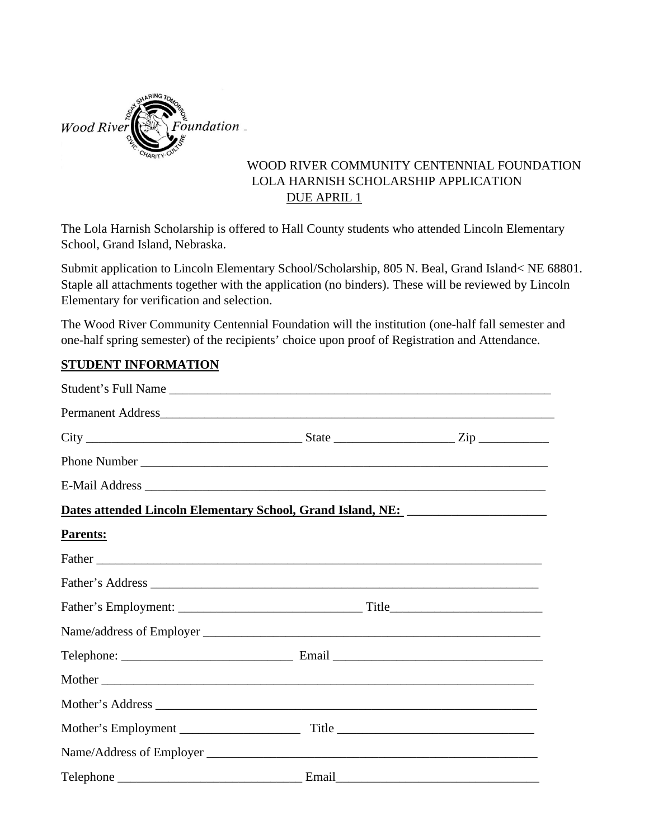

## WOOD RIVER COMMUNITY CENTENNIAL FOUNDATION LOLA HARNISH SCHOLARSHIP APPLICATION DUE APRIL 1

The Lola Harnish Scholarship is offered to Hall County students who attended Lincoln Elementary School, Grand Island, Nebraska.

Submit application to Lincoln Elementary School/Scholarship, 805 N. Beal, Grand Island< NE 68801. Staple all attachments together with the application (no binders). These will be reviewed by Lincoln Elementary for verification and selection.

The Wood River Community Centennial Foundation will the institution (one-half fall semester and one-half spring semester) of the recipients' choice upon proof of Registration and Attendance.

## **STUDENT INFORMATION**

| Dates attended Lincoln Elementary School, Grand Island, NE: _____________________ |  |
|-----------------------------------------------------------------------------------|--|
| Parents:                                                                          |  |
|                                                                                   |  |
|                                                                                   |  |
|                                                                                   |  |
|                                                                                   |  |
|                                                                                   |  |
|                                                                                   |  |
|                                                                                   |  |
|                                                                                   |  |
|                                                                                   |  |
|                                                                                   |  |